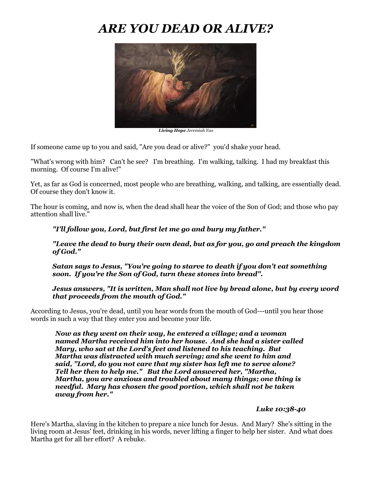# *ARE YOU DEAD OR ALIVE?*



*Living Hope Jeremiah Yao*

If someone came up to you and said, "Are you dead or alive?" you'd shake your head.

"What's wrong with him? Can't he see? I'm breathing. I'm walking, talking. I had my breakfast this morning. Of course I'm alive!"

Yet, as far as God is concerned, most people who are breathing, walking, and talking, are essentially dead. Of course they don't know it.

The hour is coming, and now is, when the dead shall hear the voice of the Son of God; and those who pay attention shall live."

### *"I'll follow you, Lord, but first let me go and bury my father."*

*"Leave the dead to bury their own dead, but as for you, go and preach the kingdom of God."*

*Satan says to Jesus, "You're going to starve to death if you don't eat something soon. If you're the Son of God, turn these stones into bread".*

*Jesus answers, "It is written, Man shall not live by bread alone, but by every word that proceeds from the mouth of God."*

According to Jesus, you're dead, until you hear words from the mouth of God---until you hear those words in such a way that they enter you and become your life.

*Now as they went on their way, he entered a village; and a woman named Martha received him into her house. And she had a sister called Mary, who sat at the Lord's feet and listened to his teaching. But Martha was distracted with much serving; and she went to him and said, "Lord, do you not care that my sister has left me to serve alone? Tell her then to help me." But the Lord answered her, "Martha, Martha, you are anxious and troubled about many things; one thing is needful. Mary has chosen the good portion, which shall not be taken away from her."*

#### *Luke 10:38-40*

Here's Martha, slaving in the kitchen to prepare a nice lunch for Jesus. And Mary? She's sitting in the living room at Jesus' feet, drinking in his words, never lifting a finger to help her sister. And what does Martha get for all her effort? A rebuke.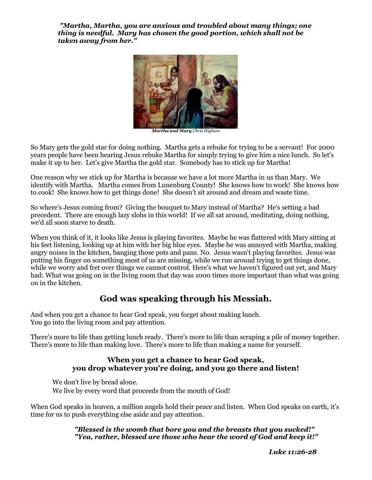*"Martha, Martha, you are anxious and troubled about many things; one thing is needful. Mary has chosen the good portion, which shall not be taken away from her."*



*Martha and Mary Chris Higham*

So Mary gets the gold star for doing nothing. Martha gets a rebuke for trying to be a servant! For 2000 years people have been hearing Jesus rebuke Martha for simply trying to give him a nice lunch. So let's make it up to her. Let's give Martha the gold star. Somebody has to stick up for Martha!

One reason why we stick up for Martha is because we have a lot more Martha in us than Mary. We identify with Martha. Martha comes from Lunenburg County! She knows how to work! She knows how to cook! She knows how to get things done! She doesn't sit around and dream and waste time.

So where's Jesus coming from? Giving the bouquet to Mary instead of Martha? He's setting a bad precedent. There are enough lazy slobs in this world! If we all sat around, meditating, doing nothing, we'd all soon starve to death.

When you think of it, it looks like Jesus is playing favorites. Maybe he was flattered with Mary sitting at his feet listening, looking up at him with her big blue eyes. Maybe he was annoyed with Martha, making angry noises in the kitchen, banging those pots and pans. No. Jesus wasn't playing favorites. Jesus was putting his finger on something most of us are missing, while we run around trying to get things done, while we worry and fret over things we cannot control. Here's what we haven't figured out yet, and Mary had: What was going on in the living room that day was 1000 times more important than what was going on in the kitchen.

# **God was speaking through his Messiah.**

And when you get a chance to hear God speak, you forget about making lunch. You go into the living room and pay attention.

There's more to life than getting lunch ready. There's more to life than scraping a pile of money together. There's more to life than making love. There's more to life than making a name for yourself.

### **When you get a chance to hear God speak, you drop whatever you're doing, and you go there and listen!**

We don't live by bread alone. We live by every word that proceeds from the mouth of God!

When God speaks in heaven, a million angels hold their peace and listen. When God speaks on earth, it's time for us to push everything else aside and pay attention.

> *"Blessed is the womb that bore you and the breasts that you sucked!" "Yea, rather, blessed are those who hear the word of God and keep it!"*

> > *Luke 11:26-28*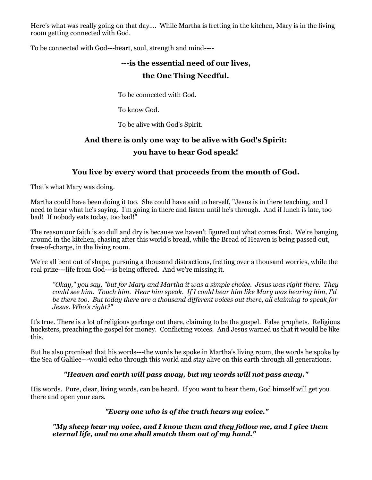Here's what was really going on that day…. While Martha is fretting in the kitchen, Mary is in the living room getting connected with God.

To be connected with God---heart, soul, strength and mind----

# **---is the essential need of our lives, the One Thing Needful.**

To be connected with God.

To know God.

To be alive with God's Spirit.

# **And there is only one way to be alive with God's Spirit: you have to hear God speak!**

## **You live by every word that proceeds from the mouth of God.**

That's what Mary was doing.

Martha could have been doing it too. She could have said to herself, "Jesus is in there teaching, and I need to hear what he's saying. I'm going in there and listen until he's through. And if lunch is late, too bad! If nobody eats today, too bad!"

The reason our faith is so dull and dry is because we haven't figured out what comes first. We're banging around in the kitchen, chasing after this world's bread, while the Bread of Heaven is being passed out, free-of-charge, in the living room.

We're all bent out of shape, pursuing a thousand distractions, fretting over a thousand worries, while the real prize---life from God---is being offered. And we're missing it.

*"Okay," you say, "but for Mary and Martha it was a simple choice. Jesus was right there. They could see him. Touch him. Hear him speak. If I could hear him like Mary was hearing him, I'd be there too. But today there are a thousand different voices out there, all claiming to speak for Jesus. Who's right?"*

It's true. There is a lot of religious garbage out there, claiming to be the gospel. False prophets. Religious hucksters, preaching the gospel for money. Conflicting voices. And Jesus warned us that it would be like this.

But he also promised that his words---the words he spoke in Martha's living room, the words he spoke by the Sea of Galilee---would echo through this world and stay alive on this earth through all generations.

### *"Heaven and earth will pass away, but my words will not pass away."*

His words. Pure, clear, living words, can be heard. If you want to hear them, God himself will get you there and open your ears.

### *"Every one who is of the truth hears my voice."*

*"My sheep hear my voice, and I know them and they follow me, and I give them eternal life, and no one shall snatch them out of my hand."*